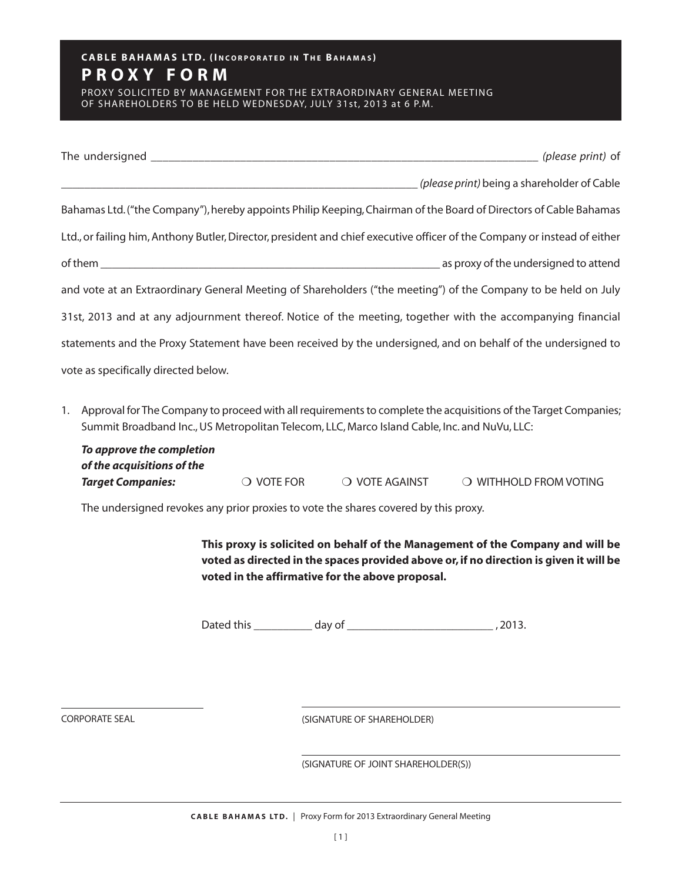## CABLE BAHAMAS LTD. (INCORPORATED IN THE BAHAMAS) **P R O X Y F O R M**

PROXY SOLICITED BY MANAGEMENT FOR THE EXTRAORDINARY GENERAL MEETING OF SHAREHOLDERS TO BE HELD WEDNESDAY, JULY 31st, 2013 at 6 P.M.

|                                                                                                                           | <i>(please print)</i> being a shareholder of Cable |
|---------------------------------------------------------------------------------------------------------------------------|----------------------------------------------------|
| Bahamas Ltd. ("the Company"), hereby appoints Philip Keeping, Chairman of the Board of Directors of Cable Bahamas         |                                                    |
| Ltd., or failing him, Anthony Butler, Director, president and chief executive officer of the Company or instead of either |                                                    |
|                                                                                                                           |                                                    |
| and vote at an Extraordinary General Meeting of Shareholders ("the meeting") of the Company to be held on July            |                                                    |
| 31st, 2013 and at any adjournment thereof. Notice of the meeting, together with the accompanying financial                |                                                    |
| statements and the Proxy Statement have been received by the undersigned, and on behalf of the undersigned to             |                                                    |
| vote as specifically directed below.                                                                                      |                                                    |
|                                                                                                                           |                                                    |

1. Approval for The Company to proceed with all requirements to complete the acquisitions of the Target Companies; Summit Broadband Inc.,US Metropolitan Telecom, LLC, Marco Island Cable, Inc. and NuVu, LLC:

| To approve the completion  |                     |                |                        |
|----------------------------|---------------------|----------------|------------------------|
| of the acquisitions of the |                     |                |                        |
| <b>Target Companies:</b>   | $\bigcirc$ vote for | O VOTE AGAINST | O WITHHOLD FROM VOTING |

The undersigned revokes any prior proxies to vote the shares covered by this proxy.

**This proxy is solicited on behalf of the Management of the Company and will be voted as directed in the spaces provided above or,if no direction is given it will be voted in the affirmative for the above proposal.**

Dated this \_\_\_\_\_\_\_\_\_\_ day of \_\_\_\_\_\_\_\_\_\_\_\_\_\_\_\_\_\_\_\_\_\_\_\_\_ , 2013.

CORPORATE SEAL

(SIGNATURE OF SHAREHOLDER)

(SIGNATURE OF JOINT SHAREHOLDER(S))